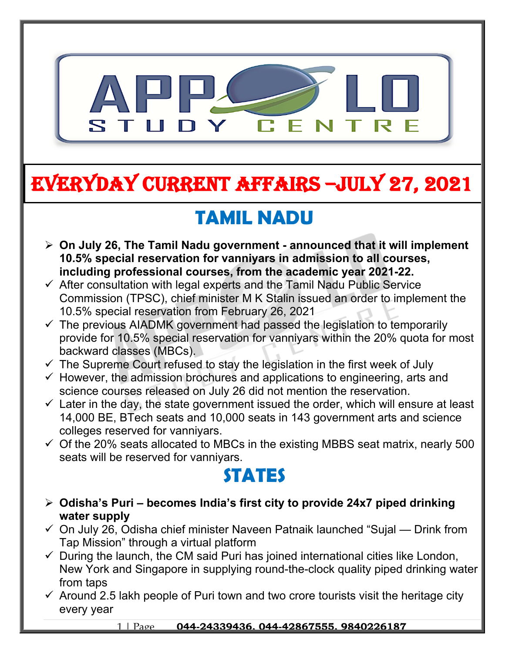

# **EVERYDAY CURRENT AFFAIRS –jULY 27, 2021**

**-**

# **TAMIL NADU**

- **On July 26, The Tamil Nadu government announced that it will implement 10.5% special reservation for vanniyars in admission to all courses, including professional courses, from the academic year 2021-22.**
- $\checkmark$  After consultation with legal experts and the Tamil Nadu Public Service Commission (TPSC), chief minister M K Stalin issued an order to implement the 10.5% special reservation from February 26, 2021
- $\checkmark$  The previous AIADMK government had passed the legislation to temporarily provide for 10.5% special reservation for vanniyars within the 20% quota for most backward classes (MBCs).
- $\checkmark$  The Supreme Court refused to stay the legislation in the first week of July
- $\checkmark$  However, the admission brochures and applications to engineering, arts and science courses released on July 26 did not mention the reservation.
- $\checkmark$  Later in the day, the state government issued the order, which will ensure at least 14,000 BE, BTech seats and 10,000 seats in 143 government arts and science colleges reserved for vanniyars.
- $\checkmark$  Of the 20% seats allocated to MBCs in the existing MBBS seat matrix, nearly 500 seats will be reserved for vanniyars.

## **STATES**

- **Odisha's Puri becomes India's first city to provide 24x7 piped drinking water supply**
- $\checkmark$  On July 26, Odisha chief minister Naveen Patnaik launched "Sujal Drink from Tap Mission" through a virtual platform
- $\checkmark$  During the launch, the CM said Puri has joined international cities like London, New York and Singapore in supplying round-the-clock quality piped drinking water from taps
- $\checkmark$  Around 2.5 lakh people of Puri town and two crore tourists visit the heritage city every year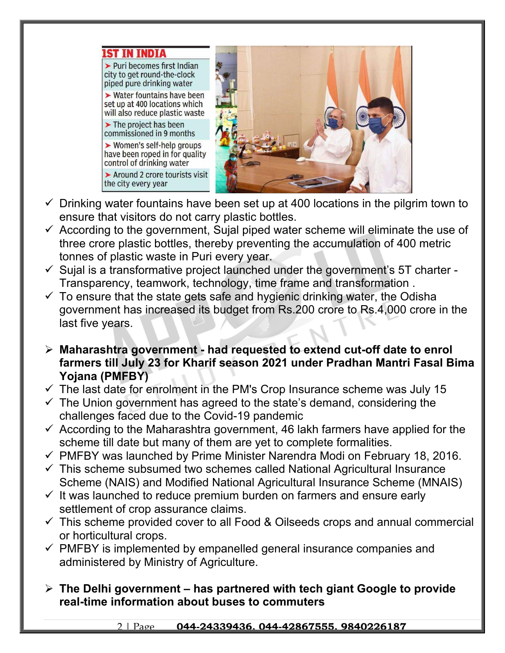

- $\checkmark$  Drinking water fountains have been set up at 400 locations in the pilgrim town to ensure that visitors do not carry plastic bottles.
- $\checkmark$  According to the government, Sujal piped water scheme will eliminate the use of three crore plastic bottles, thereby preventing the accumulation of 400 metric tonnes of plastic waste in Puri every year.
- $\checkmark$  Sujal is a transformative project launched under the government's 5T charter -Transparency, teamwork, technology, time frame and transformation .
- $\checkmark$  To ensure that the state gets safe and hygienic drinking water, the Odisha government has increased its budget from Rs.200 crore to Rs.4,000 crore in the last five years.
- **Maharashtra government had requested to extend cut-off date to enrol farmers till July 23 for Kharif season 2021 under Pradhan Mantri Fasal Bima Yojana (PMFBY)**
- $\checkmark$  The last date for enrolment in the PM's Crop Insurance scheme was July 15
- $\checkmark$  The Union government has agreed to the state's demand, considering the challenges faced due to the Covid-19 pandemic
- $\checkmark$  According to the Maharashtra government, 46 lakh farmers have applied for the scheme till date but many of them are yet to complete formalities.
- $\checkmark$  PMFBY was launched by Prime Minister Narendra Modi on February 18, 2016.
- $\checkmark$  This scheme subsumed two schemes called National Agricultural Insurance Scheme (NAIS) and Modified National Agricultural Insurance Scheme (MNAIS)
- $\checkmark$  It was launched to reduce premium burden on farmers and ensure early settlement of crop assurance claims.
- $\checkmark$  This scheme provided cover to all Food & Oilseeds crops and annual commercial or horticultural crops.
- $\checkmark$  PMFBY is implemented by empanelled general insurance companies and administered by Ministry of Agriculture.
- **The Delhi government has partnered with tech giant Google to provide real-time information about buses to commuters**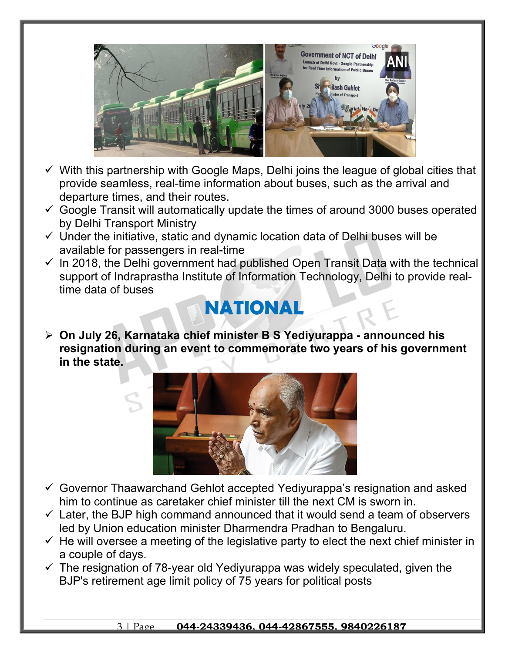

- $\checkmark$  With this partnership with Google Maps, Delhi joins the league of global cities that provide seamless, real-time information about buses, such as the arrival and departure times, and their routes.
- $\checkmark$  Google Transit will automatically update the times of around 3000 buses operated by Delhi Transport Ministry
- $\checkmark$  Under the initiative, static and dynamic location data of Delhi buses will be available for passengers in real-time
- $\checkmark$  In 2018, the Delhi government had published Open Transit Data with the technical support of Indraprastha Institute of Information Technology, Delhi to provide realtime data of buses

#### **NATIONAL**

 **On July 26, Karnataka chief minister B S Yediyurappa - announced his resignation during an event to commemorate two years of his government in the state.**



- $\checkmark$  Governor Thaawarchand Gehlot accepted Yediyurappa's resignation and asked him to continue as caretaker chief minister till the next CM is sworn in.
- $\checkmark$  Later, the BJP high command announced that it would send a team of observers led by Union education minister Dharmendra Pradhan to Bengaluru.
- $\checkmark$  He will oversee a meeting of the legislative party to elect the next chief minister in a couple of days.
- $\checkmark$  The resignation of 78-year old Yediyurappa was widely speculated, given the BJP's retirement age limit policy of 75 years for political posts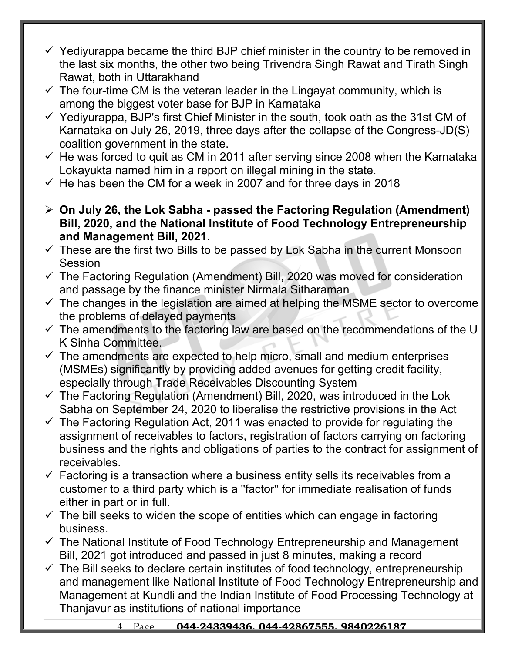- $\checkmark$  Yediyurappa became the third BJP chief minister in the country to be removed in the last six months, the other two being Trivendra Singh Rawat and Tirath Singh Rawat, both in Uttarakhand
- $\checkmark$  The four-time CM is the veteran leader in the Lingayat community, which is among the biggest voter base for BJP in Karnataka
- $\checkmark$  Yediyurappa, BJP's first Chief Minister in the south, took oath as the 31st CM of Karnataka on July 26, 2019, three days after the collapse of the Congress-JD(S) coalition government in the state.
- $\checkmark$  He was forced to quit as CM in 2011 after serving since 2008 when the Karnataka Lokayukta named him in a report on illegal mining in the state.
- $\le$  He has been the CM for a week in 2007 and for three days in 2018
- **On July 26, the Lok Sabha passed the Factoring Regulation (Amendment) Bill, 2020, and the National Institute of Food Technology Entrepreneurship and Management Bill, 2021.**
- $\checkmark$  These are the first two Bills to be passed by Lok Sabha in the current Monsoon Session
- $\checkmark$  The Factoring Regulation (Amendment) Bill, 2020 was moved for consideration and passage by the finance minister Nirmala Sitharaman
- $\checkmark$  The changes in the legislation are aimed at helping the MSME sector to overcome the problems of delayed payments
- $\checkmark$  The amendments to the factoring law are based on the recommendations of the U K Sinha Committee.
- $\checkmark$  The amendments are expected to help micro, small and medium enterprises (MSMEs) significantly by providing added avenues for getting credit facility, especially through Trade Receivables Discounting System
- $\checkmark$  The Factoring Regulation (Amendment) Bill, 2020, was introduced in the Lok Sabha on September 24, 2020 to liberalise the restrictive provisions in the Act
- $\checkmark$  The Factoring Regulation Act, 2011 was enacted to provide for regulating the assignment of receivables to factors, registration of factors carrying on factoring business and the rights and obligations of parties to the contract for assignment of receivables.
- $\checkmark$  Factoring is a transaction where a business entity sells its receivables from a customer to a third party which is a ''factor'' for immediate realisation of funds either in part or in full.
- $\checkmark$  The bill seeks to widen the scope of entities which can engage in factoring business.
- $\checkmark$  The National Institute of Food Technology Entrepreneurship and Management Bill, 2021 got introduced and passed in just 8 minutes, making a record
- $\checkmark$  The Bill seeks to declare certain institutes of food technology, entrepreneurship and management like National Institute of Food Technology Entrepreneurship and Management at Kundli and the Indian Institute of Food Processing Technology at Thanjavur as institutions of national importance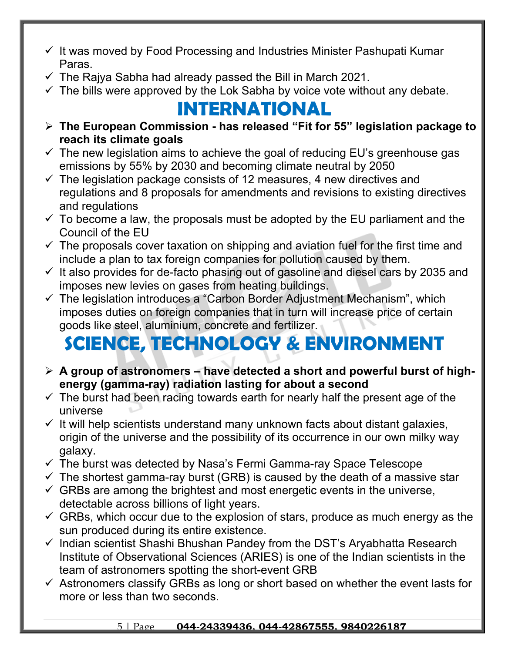- $\checkmark$  It was moved by Food Processing and Industries Minister Pashupati Kumar Paras.
- $\checkmark$  The Rajya Sabha had already passed the Bill in March 2021.
- $\checkmark$  The bills were approved by the Lok Sabha by voice vote without any debate.

## **INTERNATIONAL**

- **The European Commission has released "Fit for 55" legislation package to reach its climate goals**
- $\checkmark$  The new legislation aims to achieve the goal of reducing EU's greenhouse gas emissions by 55% by 2030 and becoming climate neutral by 2050
- $\checkmark$  The legislation package consists of 12 measures, 4 new directives and regulations and 8 proposals for amendments and revisions to existing directives and regulations
- $\checkmark$  To become a law, the proposals must be adopted by the EU parliament and the Council of the EU
- $\checkmark$  The proposals cover taxation on shipping and aviation fuel for the first time and include a plan to tax foreign companies for pollution caused by them.
- $\checkmark$  It also provides for de-facto phasing out of gasoline and diesel cars by 2035 and imposes new levies on gases from heating buildings.
- $\checkmark$  The legislation introduces a "Carbon Border Adjustment Mechanism", which imposes duties on foreign companies that in turn will increase price of certain goods like steel, aluminium, concrete and fertilizer.

# **SCIENCE, TECHNOLOGY & ENVIRONMENT**

- **A group of astronomers have detected a short and powerful burst of highenergy (gamma-ray) radiation lasting for about a second**
- $\checkmark$  The burst had been racing towards earth for nearly half the present age of the universe
- $\checkmark$  It will help scientists understand many unknown facts about distant galaxies, origin of the universe and the possibility of its occurrence in our own milky way galaxy.
- $\checkmark$  The burst was detected by Nasa's Fermi Gamma-ray Space Telescope
- $\checkmark$  The shortest gamma-ray burst (GRB) is caused by the death of a massive star
- $\checkmark$  GRBs are among the brightest and most energetic events in the universe, detectable across billions of light years.
- $\checkmark$  GRBs, which occur due to the explosion of stars, produce as much energy as the sun produced during its entire existence.
- $\checkmark$  Indian scientist Shashi Bhushan Pandey from the DST's Aryabhatta Research Institute of Observational Sciences (ARIES) is one of the Indian scientists in the team of astronomers spotting the short-event GRB
- $\checkmark$  Astronomers classify GRBs as long or short based on whether the event lasts for more or less than two seconds.

#### 5 | Page **044-24339436, 044-42867555, 9840226187**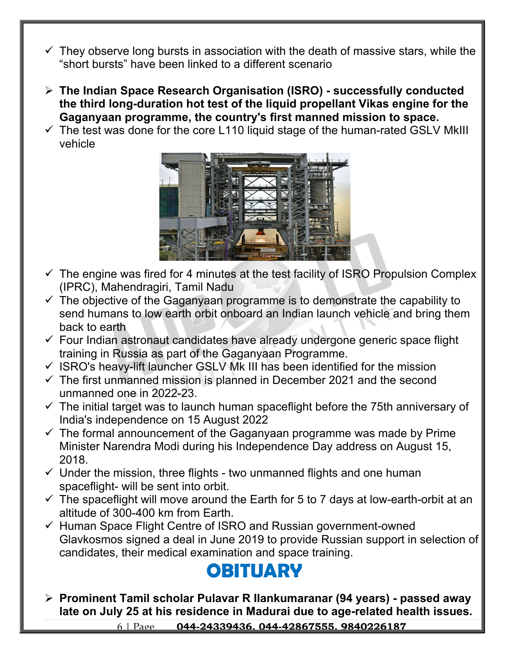- $\checkmark$  They observe long bursts in association with the death of massive stars, while the "short bursts" have been linked to a different scenario
- **The Indian Space Research Organisation (ISRO) successfully conducted the third long-duration hot test of the liquid propellant Vikas engine for the Gaganyaan programme, the country's first manned mission to space.**
- $\checkmark$  The test was done for the core L110 liquid stage of the human-rated GSLV MkIII vehicle



- $\checkmark$  The engine was fired for 4 minutes at the test facility of ISRO Propulsion Complex (IPRC), Mahendragiri, Tamil Nadu
- $\checkmark$  The objective of the Gaganyaan programme is to demonstrate the capability to send humans to low earth orbit onboard an Indian launch vehicle and bring them back to earth
- $\checkmark$  Four Indian astronaut candidates have already undergone generic space flight training in Russia as part of the Gaganyaan Programme.
- $\checkmark$  ISRO's heavy-lift launcher GSLV Mk III has been identified for the mission
- $\checkmark$  The first unmanned mission is planned in December 2021 and the second unmanned one in 2022-23.
- $\checkmark$  The initial target was to launch human spaceflight before the 75th anniversary of India's independence on 15 August 2022
- $\checkmark$  The formal announcement of the Gaganyaan programme was made by Prime Minister Narendra Modi during his Independence Day address on August 15, 2018.
- $\checkmark$  Under the mission, three flights two unmanned flights and one human spaceflight- will be sent into orbit.
- $\checkmark$  The spaceflight will move around the Earth for 5 to 7 days at low-earth-orbit at an altitude of 300-400 km from Earth.
- $\checkmark$  Human Space Flight Centre of ISRO and Russian government-owned Glavkosmos signed a deal in June 2019 to provide Russian support in selection of candidates, their medical examination and space training.

### **OBITUARY**

 **Prominent Tamil scholar Pulavar R Ilankumaranar (94 years) - passed away late on July 25 at his residence in Madurai due to age-related health issues.** 

6 | Page **044-24339436, 044-42867555, 9840226187**